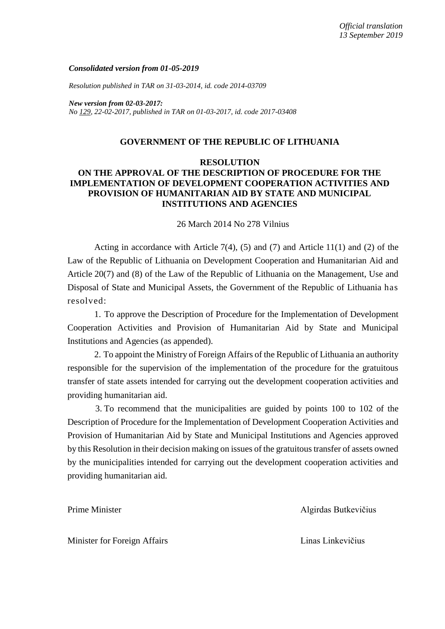### *Consolidated version from 01-05-2019*

*Resolution published in TAR on 31-03-2014, id. code 2014-03709*

*New version from 02-03-2017: No [129,](https://www.e-tar.lt/portal/legalAct.html?documentId=28eeb270fe6611e68034be159a964f47) 22-02-2017, published in TAR on 01-03-2017, id. code 2017-03408*

### **GOVERNMENT OF THE REPUBLIC OF LITHUANIA**

## **RESOLUTION ON THE APPROVAL OF THE DESCRIPTION OF PROCEDURE FOR THE IMPLEMENTATION OF DEVELOPMENT COOPERATION ACTIVITIES AND PROVISION OF HUMANITARIAN AID BY STATE AND MUNICIPAL INSTITUTIONS AND AGENCIES**

26 March 2014 No 278 Vilnius

Acting in accordance with Article  $7(4)$ ,  $(5)$  and  $(7)$  and Article 11 $(1)$  and  $(2)$  of the Law of the Republic of Lithuania on Development Cooperation and Humanitarian Aid and Article 20(7) and (8) of the Law of the Republic of Lithuania on the Management, Use and Disposal of State and Municipal Assets, the Government of the Republic of Lithuania has resolved:

1. To approve the Description of Procedure for the Implementation of Development Cooperation Activities and Provision of Humanitarian Aid by State and Municipal Institutions and Agencies (as appended).

2. To appoint the Ministry of Foreign Affairs of the Republic of Lithuania an authority responsible for the supervision of the implementation of the procedure for the gratuitous transfer of state assets intended for carrying out the development cooperation activities and providing humanitarian aid.

3. To recommend that the municipalities are guided by points 100 to 102 of the Description of Procedure for the Implementation of Development Cooperation Activities and Provision of Humanitarian Aid by State and Municipal Institutions and Agencies approved by this Resolution in their decision making on issues of the gratuitous transfer of assets owned by the municipalities intended for carrying out the development cooperation activities and providing humanitarian aid.

Prime Minister Algirdas Butkevičius

Minister for Foreign Affairs **Linas Linkevičius** Linas Linkevičius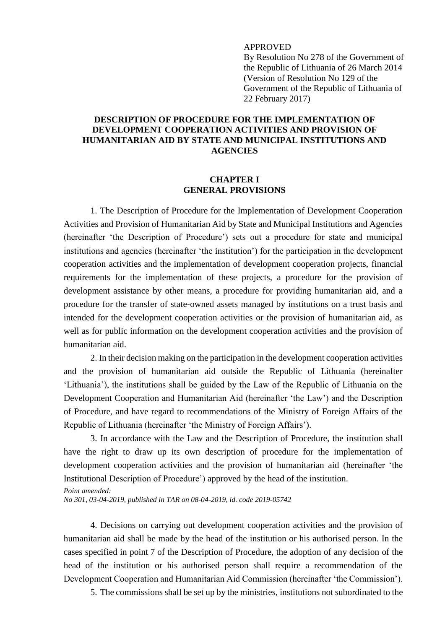### APPROVED

By Resolution No 278 of the Government of the Republic of Lithuania of 26 March 2014 (Version of Resolution No 129 of the Government of the Republic of Lithuania of 22 February 2017)

# **DESCRIPTION OF PROCEDURE FOR THE IMPLEMENTATION OF DEVELOPMENT COOPERATION ACTIVITIES AND PROVISION OF HUMANITARIAN AID BY STATE AND MUNICIPAL INSTITUTIONS AND AGENCIES**

## **CHAPTER I GENERAL PROVISIONS**

1. The Description of Procedure for the Implementation of Development Cooperation Activities and Provision of Humanitarian Aid by State and Municipal Institutions and Agencies (hereinafter 'the Description of Procedure') sets out a procedure for state and municipal institutions and agencies (hereinafter 'the institution') for the participation in the development cooperation activities and the implementation of development cooperation projects, financial requirements for the implementation of these projects, a procedure for the provision of development assistance by other means, a procedure for providing humanitarian aid, and a procedure for the transfer of state-owned assets managed by institutions on a trust basis and intended for the development cooperation activities or the provision of humanitarian aid, as well as for public information on the development cooperation activities and the provision of humanitarian aid.

2. In their decision making on the participation in the development cooperation activities and the provision of humanitarian aid outside the Republic of Lithuania (hereinafter 'Lithuania'), the institutions shall be guided by the Law of the Republic of Lithuania on the Development Cooperation and Humanitarian Aid (hereinafter 'the Law') and the Description of Procedure, and have regard to recommendations of the Ministry of Foreign Affairs of the Republic of Lithuania (hereinafter 'the Ministry of Foreign Affairs').

3. In accordance with the Law and the Description of Procedure, the institution shall have the right to draw up its own description of procedure for the implementation of development cooperation activities and the provision of humanitarian aid (hereinafter 'the Institutional Description of Procedure') approved by the head of the institution.

*No [301,](https://www.e-tar.lt/portal/legalAct.html?documentId=2076e0e059c211e98b599e654d7d03a0) 03-04-2019, published in TAR on 08-04-2019, id. code 2019-05742*

4. Decisions on carrying out development cooperation activities and the provision of humanitarian aid shall be made by the head of the institution or his authorised person. In the cases specified in point 7 of the Description of Procedure, the adoption of any decision of the head of the institution or his authorised person shall require a recommendation of the Development Cooperation and Humanitarian Aid Commission (hereinafter 'the Commission').

5. The commissions shall be set up by the ministries, institutions not subordinated to the

*Point amended:*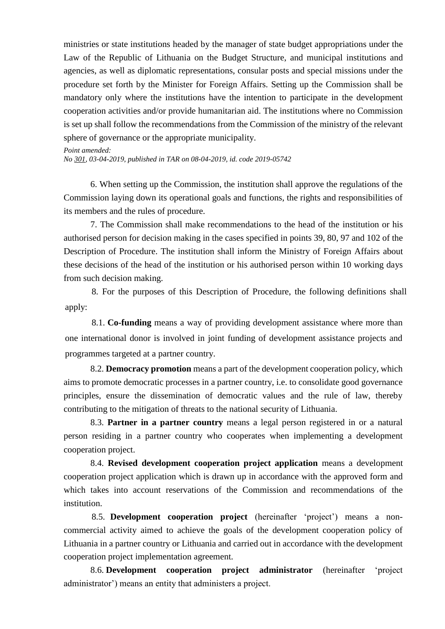ministries or state institutions headed by the manager of state budget appropriations under the Law of the Republic of Lithuania on the Budget Structure, and municipal institutions and agencies, as well as diplomatic representations, consular posts and special missions under the procedure set forth by the Minister for Foreign Affairs. Setting up the Commission shall be mandatory only where the institutions have the intention to participate in the development cooperation activities and/or provide humanitarian aid. The institutions where no Commission is set up shall follow the recommendations from the Commission of the ministry of the relevant sphere of governance or the appropriate municipality.

*Point amended: No [301,](https://www.e-tar.lt/portal/legalAct.html?documentId=2076e0e059c211e98b599e654d7d03a0) 03-04-2019, published in TAR on 08-04-2019, id. code 2019-05742*

6. When setting up the Commission, the institution shall approve the regulations of the Commission laying down its operational goals and functions, the rights and responsibilities of its members and the rules of procedure.

7. The Commission shall make recommendations to the head of the institution or his authorised person for decision making in the cases specified in points 39, 80, 97 and 102 of the Description of Procedure. The institution shall inform the Ministry of Foreign Affairs about these decisions of the head of the institution or his authorised person within 10 working days from such decision making.

8. For the purposes of this Description of Procedure, the following definitions shall apply:

8.1. **Co-funding** means a way of providing development assistance where more than one international donor is involved in joint funding of development assistance projects and programmes targeted at a partner country.

8.2. **Democracy promotion** means a part of the development cooperation policy, which aims to promote democratic processes in a partner country, i.e. to consolidate good governance principles, ensure the dissemination of democratic values and the rule of law, thereby contributing to the mitigation of threats to the national security of Lithuania.

8.3. **Partner in a partner country** means a legal person registered in or a natural person residing in a partner country who cooperates when implementing a development cooperation project.

8.4. **Revised development cooperation project application** means a development cooperation project application which is drawn up in accordance with the approved form and which takes into account reservations of the Commission and recommendations of the institution.

8.5. **Development cooperation project** (hereinafter 'project') means a noncommercial activity aimed to achieve the goals of the development cooperation policy of Lithuania in a partner country or Lithuania and carried out in accordance with the development cooperation project implementation agreement.

8.6. **Development cooperation project administrator** (hereinafter 'project administrator') means an entity that administers a project.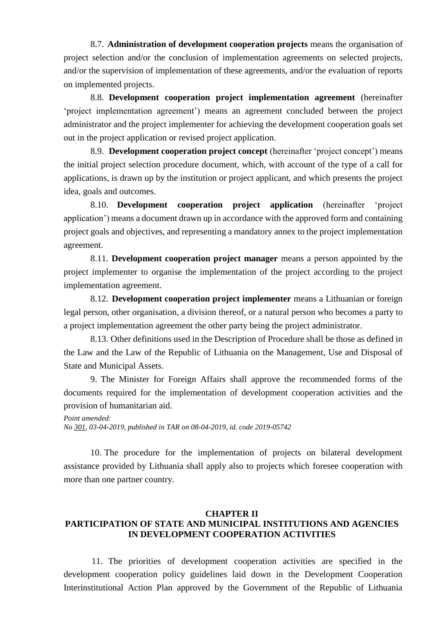8.7. **Administration of development cooperation projects** means the organisation of project selection and/or the conclusion of implementation agreements on selected projects, and/or the supervision of implementation of these agreements, and/or the evaluation of reports on implemented projects.

8.8. **Development cooperation project implementation agreement** (hereinafter 'project implementation agreement') means an agreement concluded between the project administrator and the project implementer for achieving the development cooperation goals set out in the project application or revised project application.

8.9. **Development cooperation project concept** (hereinafter 'project concept') means the initial project selection procedure document, which, with account of the type of a call for applications, is drawn up by the institution or project applicant, and which presents the project idea, goals and outcomes.

8.10. **Development cooperation project application** (hereinafter 'project application') means a document drawn up in accordance with the approved form and containing project goals and objectives, and representing a mandatory annex to the project implementation agreement.

8.11. **Development cooperation project manager** means a person appointed by the project implementer to organise the implementation of the project according to the project implementation agreement.

8.12. **Development cooperation project implementer** means a Lithuanian or foreign legal person, other organisation, a division thereof, or a natural person who becomes a party to a project implementation agreement the other party being the project administrator.

8.13. Other definitions used in the Description of Procedure shall be those as defined in the Law and the Law of the Republic of Lithuania on the Management, Use and Disposal of State and Municipal Assets.

9. The Minister for Foreign Affairs shall approve the recommended forms of the documents required for the implementation of development cooperation activities and the provision of humanitarian aid.

*Point amended: No [301,](https://www.e-tar.lt/portal/legalAct.html?documentId=2076e0e059c211e98b599e654d7d03a0) 03-04-2019, published in TAR on 08-04-2019, id. code 2019-05742*

10. The procedure for the implementation of projects on bilateral development assistance provided by Lithuania shall apply also to projects which foresee cooperation with more than one partner country.

## **CHAPTER II PARTICIPATION OF STATE AND MUNICIPAL INSTITUTIONS AND AGENCIES IN DEVELOPMENT COOPERATION ACTIVITIES**

11. The priorities of development cooperation activities are specified in the development cooperation policy guidelines laid down in the Development Cooperation Interinstitutional Action Plan approved by the Government of the Republic of Lithuania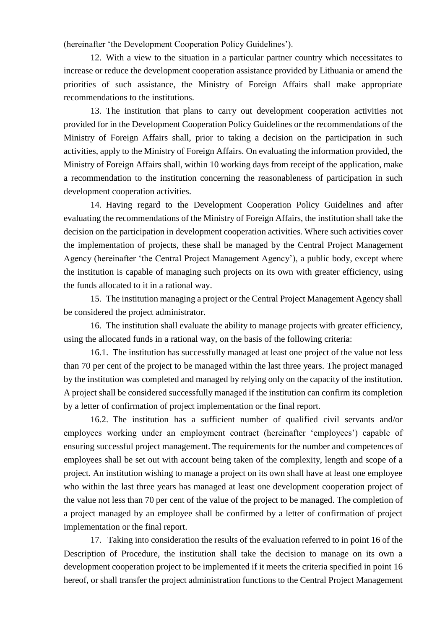(hereinafter 'the Development Cooperation Policy Guidelines').

12. With a view to the situation in a particular partner country which necessitates to increase or reduce the development cooperation assistance provided by Lithuania or amend the priorities of such assistance, the Ministry of Foreign Affairs shall make appropriate recommendations to the institutions.

13. The institution that plans to carry out development cooperation activities not provided for in the Development Cooperation Policy Guidelines or the recommendations of the Ministry of Foreign Affairs shall, prior to taking a decision on the participation in such activities, apply to the Ministry of Foreign Affairs. On evaluating the information provided, the Ministry of Foreign Affairs shall, within 10 working days from receipt of the application, make a recommendation to the institution concerning the reasonableness of participation in such development cooperation activities.

14. Having regard to the Development Cooperation Policy Guidelines and after evaluating the recommendations of the Ministry of Foreign Affairs, the institution shall take the decision on the participation in development cooperation activities. Where such activities cover the implementation of projects, these shall be managed by the Central Project Management Agency (hereinafter 'the Central Project Management Agency'), a public body, except where the institution is capable of managing such projects on its own with greater efficiency, using the funds allocated to it in a rational way.

15. The institution managing a project or the Central Project Management Agency shall be considered the project administrator.

16. The institution shall evaluate the ability to manage projects with greater efficiency, using the allocated funds in a rational way, on the basis of the following criteria:

16.1. The institution has successfully managed at least one project of the value not less than 70 per cent of the project to be managed within the last three years. The project managed by the institution was completed and managed by relying only on the capacity of the institution. A project shall be considered successfully managed if the institution can confirm its completion by a letter of confirmation of project implementation or the final report.

16.2. The institution has a sufficient number of qualified civil servants and/or employees working under an employment contract (hereinafter 'employees') capable of ensuring successful project management. The requirements for the number and competences of employees shall be set out with account being taken of the complexity, length and scope of a project. An institution wishing to manage a project on its own shall have at least one employee who within the last three years has managed at least one development cooperation project of the value not less than 70 per cent of the value of the project to be managed. The completion of a project managed by an employee shall be confirmed by a letter of confirmation of project implementation or the final report.

17. Taking into consideration the results of the evaluation referred to in point 16 of the Description of Procedure, the institution shall take the decision to manage on its own a development cooperation project to be implemented if it meets the criteria specified in point 16 hereof, or shall transfer the project administration functions to the Central Project Management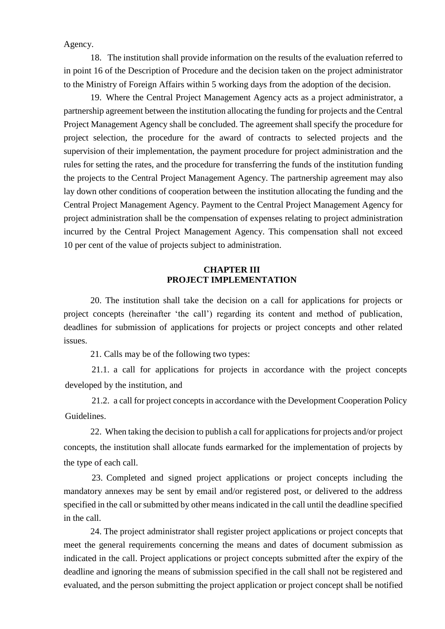Agency.

18. The institution shall provide information on the results of the evaluation referred to in point 16 of the Description of Procedure and the decision taken on the project administrator to the Ministry of Foreign Affairs within 5 working days from the adoption of the decision.

19. Where the Central Project Management Agency acts as a project administrator, a partnership agreement between the institution allocating the funding for projects and the Central Project Management Agency shall be concluded. The agreement shall specify the procedure for project selection, the procedure for the award of contracts to selected projects and the supervision of their implementation, the payment procedure for project administration and the rules for setting the rates, and the procedure for transferring the funds of the institution funding the projects to the Central Project Management Agency. The partnership agreement may also lay down other conditions of cooperation between the institution allocating the funding and the Central Project Management Agency. Payment to the Central Project Management Agency for project administration shall be the compensation of expenses relating to project administration incurred by the Central Project Management Agency. This compensation shall not exceed 10 per cent of the value of projects subject to administration.

## **CHAPTER III PROJECT IMPLEMENTATION**

20. The institution shall take the decision on a call for applications for projects or project concepts (hereinafter 'the call') regarding its content and method of publication, deadlines for submission of applications for projects or project concepts and other related issues.

21. Calls may be of the following two types:

21.1. a call for applications for projects in accordance with the project concepts developed by the institution, and

21.2. a call for project concepts in accordance with the Development Cooperation Policy Guidelines.

22. When taking the decision to publish a call for applications for projects and/or project concepts, the institution shall allocate funds earmarked for the implementation of projects by the type of each call.

23. Completed and signed project applications or project concepts including the mandatory annexes may be sent by email and/or registered post, or delivered to the address specified in the call or submitted by other means indicated in the call until the deadline specified in the call.

24. The project administrator shall register project applications or project concepts that meet the general requirements concerning the means and dates of document submission as indicated in the call. Project applications or project concepts submitted after the expiry of the deadline and ignoring the means of submission specified in the call shall not be registered and evaluated, and the person submitting the project application or project concept shall be notified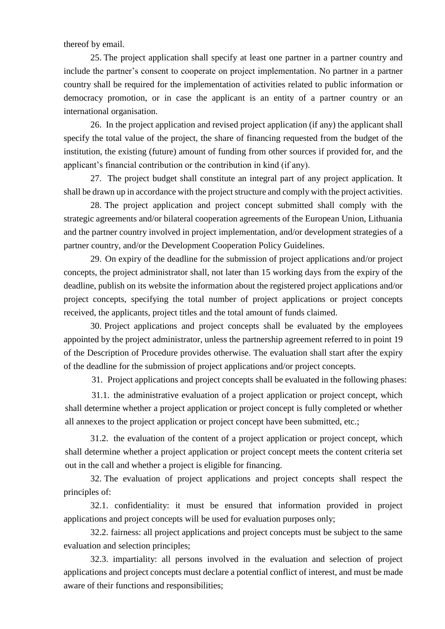thereof by email.

25. The project application shall specify at least one partner in a partner country and include the partner's consent to cooperate on project implementation. No partner in a partner country shall be required for the implementation of activities related to public information or democracy promotion, or in case the applicant is an entity of a partner country or an international organisation.

26. In the project application and revised project application (if any) the applicant shall specify the total value of the project, the share of financing requested from the budget of the institution, the existing (future) amount of funding from other sources if provided for, and the applicant's financial contribution or the contribution in kind (if any).

27. The project budget shall constitute an integral part of any project application. It shall be drawn up in accordance with the project structure and comply with the project activities.

28. The project application and project concept submitted shall comply with the strategic agreements and/or bilateral cooperation agreements of the European Union, Lithuania and the partner country involved in project implementation, and/or development strategies of a partner country, and/or the Development Cooperation Policy Guidelines.

29. On expiry of the deadline for the submission of project applications and/or project concepts, the project administrator shall, not later than 15 working days from the expiry of the deadline, publish on its website the information about the registered project applications and/or project concepts, specifying the total number of project applications or project concepts received, the applicants, project titles and the total amount of funds claimed.

30. Project applications and project concepts shall be evaluated by the employees appointed by the project administrator, unless the partnership agreement referred to in point 19 of the Description of Procedure provides otherwise. The evaluation shall start after the expiry of the deadline for the submission of project applications and/or project concepts.

31. Project applications and project concepts shall be evaluated in the following phases:

31.1. the administrative evaluation of a project application or project concept, which shall determine whether a project application or project concept is fully completed or whether all annexes to the project application or project concept have been submitted, etc.;

31.2. the evaluation of the content of a project application or project concept, which shall determine whether a project application or project concept meets the content criteria set out in the call and whether a project is eligible for financing.

32. The evaluation of project applications and project concepts shall respect the principles of:

32.1. confidentiality: it must be ensured that information provided in project applications and project concepts will be used for evaluation purposes only;

32.2. fairness: all project applications and project concepts must be subject to the same evaluation and selection principles;

32.3. impartiality: all persons involved in the evaluation and selection of project applications and project concepts must declare a potential conflict of interest, and must be made aware of their functions and responsibilities;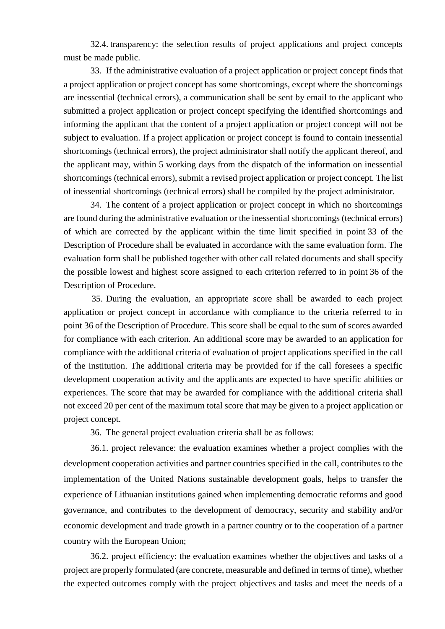32.4. transparency: the selection results of project applications and project concepts must be made public.

33. If the administrative evaluation of a project application or project concept finds that a project application or project concept has some shortcomings, except where the shortcomings are inessential (technical errors), a communication shall be sent by email to the applicant who submitted a project application or project concept specifying the identified shortcomings and informing the applicant that the content of a project application or project concept will not be subject to evaluation. If a project application or project concept is found to contain inessential shortcomings (technical errors), the project administrator shall notify the applicant thereof, and the applicant may, within 5 working days from the dispatch of the information on inessential shortcomings (technical errors), submit a revised project application or project concept. The list of inessential shortcomings (technical errors) shall be compiled by the project administrator.

34. The content of a project application or project concept in which no shortcomings are found during the administrative evaluation or the inessential shortcomings (technical errors) of which are corrected by the applicant within the time limit specified in point 33 of the Description of Procedure shall be evaluated in accordance with the same evaluation form. The evaluation form shall be published together with other call related documents and shall specify the possible lowest and highest score assigned to each criterion referred to in point 36 of the Description of Procedure.

35. During the evaluation, an appropriate score shall be awarded to each project application or project concept in accordance with compliance to the criteria referred to in point 36 of the Description of Procedure. This score shall be equal to the sum of scores awarded for compliance with each criterion. An additional score may be awarded to an application for compliance with the additional criteria of evaluation of project applications specified in the call of the institution. The additional criteria may be provided for if the call foresees a specific development cooperation activity and the applicants are expected to have specific abilities or experiences. The score that may be awarded for compliance with the additional criteria shall not exceed 20 per cent of the maximum total score that may be given to a project application or project concept.

36. The general project evaluation criteria shall be as follows:

36.1. project relevance: the evaluation examines whether a project complies with the development cooperation activities and partner countries specified in the call, contributes to the implementation of the United Nations sustainable development goals, helps to transfer the experience of Lithuanian institutions gained when implementing democratic reforms and good governance, and contributes to the development of democracy, security and stability and/or economic development and trade growth in a partner country or to the cooperation of a partner country with the European Union;

36.2. project efficiency: the evaluation examines whether the objectives and tasks of a project are properly formulated (are concrete, measurable and defined in terms of time), whether the expected outcomes comply with the project objectives and tasks and meet the needs of a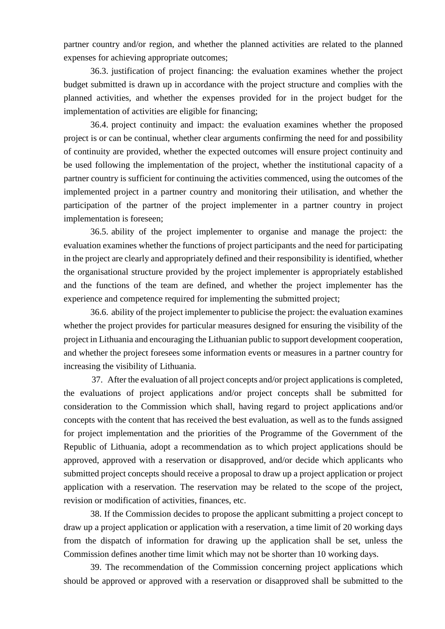partner country and/or region, and whether the planned activities are related to the planned expenses for achieving appropriate outcomes;

36.3. justification of project financing: the evaluation examines whether the project budget submitted is drawn up in accordance with the project structure and complies with the planned activities, and whether the expenses provided for in the project budget for the implementation of activities are eligible for financing;

36.4. project continuity and impact: the evaluation examines whether the proposed project is or can be continual, whether clear arguments confirming the need for and possibility of continuity are provided, whether the expected outcomes will ensure project continuity and be used following the implementation of the project, whether the institutional capacity of a partner country is sufficient for continuing the activities commenced, using the outcomes of the implemented project in a partner country and monitoring their utilisation, and whether the participation of the partner of the project implementer in a partner country in project implementation is foreseen;

36.5. ability of the project implementer to organise and manage the project: the evaluation examines whether the functions of project participants and the need for participating in the project are clearly and appropriately defined and their responsibility is identified, whether the organisational structure provided by the project implementer is appropriately established and the functions of the team are defined, and whether the project implementer has the experience and competence required for implementing the submitted project;

36.6. ability of the project implementer to publicise the project: the evaluation examines whether the project provides for particular measures designed for ensuring the visibility of the project in Lithuania and encouraging the Lithuanian public to support development cooperation, and whether the project foresees some information events or measures in a partner country for increasing the visibility of Lithuania.

37. After the evaluation of all project concepts and/or project applications is completed, the evaluations of project applications and/or project concepts shall be submitted for consideration to the Commission which shall, having regard to project applications and/or concepts with the content that has received the best evaluation, as well as to the funds assigned for project implementation and the priorities of the Programme of the Government of the Republic of Lithuania, adopt a recommendation as to which project applications should be approved, approved with a reservation or disapproved, and/or decide which applicants who submitted project concepts should receive a proposal to draw up a project application or project application with a reservation. The reservation may be related to the scope of the project, revision or modification of activities, finances, etc.

38. If the Commission decides to propose the applicant submitting a project concept to draw up a project application or application with a reservation, a time limit of 20 working days from the dispatch of information for drawing up the application shall be set, unless the Commission defines another time limit which may not be shorter than 10 working days.

39. The recommendation of the Commission concerning project applications which should be approved or approved with a reservation or disapproved shall be submitted to the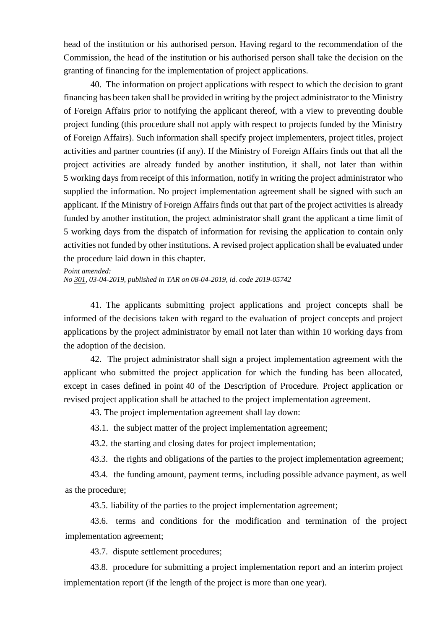head of the institution or his authorised person. Having regard to the recommendation of the Commission, the head of the institution or his authorised person shall take the decision on the granting of financing for the implementation of project applications.

40. The information on project applications with respect to which the decision to grant financing has been taken shall be provided in writing by the project administrator to the Ministry of Foreign Affairs prior to notifying the applicant thereof, with a view to preventing double project funding (this procedure shall not apply with respect to projects funded by the Ministry of Foreign Affairs). Such information shall specify project implementers, project titles, project activities and partner countries (if any). If the Ministry of Foreign Affairs finds out that all the project activities are already funded by another institution, it shall, not later than within 5 working days from receipt of this information, notify in writing the project administrator who supplied the information. No project implementation agreement shall be signed with such an applicant. If the Ministry of Foreign Affairs finds out that part of the project activities is already funded by another institution, the project administrator shall grant the applicant a time limit of 5 working days from the dispatch of information for revising the application to contain only activities not funded by other institutions. A revised project application shall be evaluated under the procedure laid down in this chapter.

#### *Point amended:*

*No [301,](https://www.e-tar.lt/portal/legalAct.html?documentId=2076e0e059c211e98b599e654d7d03a0) 03-04-2019, published in TAR on 08-04-2019, id. code 2019-05742*

41. The applicants submitting project applications and project concepts shall be informed of the decisions taken with regard to the evaluation of project concepts and project applications by the project administrator by email not later than within 10 working days from the adoption of the decision.

42. The project administrator shall sign a project implementation agreement with the applicant who submitted the project application for which the funding has been allocated, except in cases defined in point 40 of the Description of Procedure. Project application or revised project application shall be attached to the project implementation agreement.

43. The project implementation agreement shall lay down:

43.1. the subject matter of the project implementation agreement;

43.2. the starting and closing dates for project implementation;

43.3. the rights and obligations of the parties to the project implementation agreement;

43.4. the funding amount, payment terms, including possible advance payment, as well as the procedure;

43.5. liability of the parties to the project implementation agreement;

43.6. terms and conditions for the modification and termination of the project implementation agreement;

43.7. dispute settlement procedures;

43.8. procedure for submitting a project implementation report and an interim project implementation report (if the length of the project is more than one year).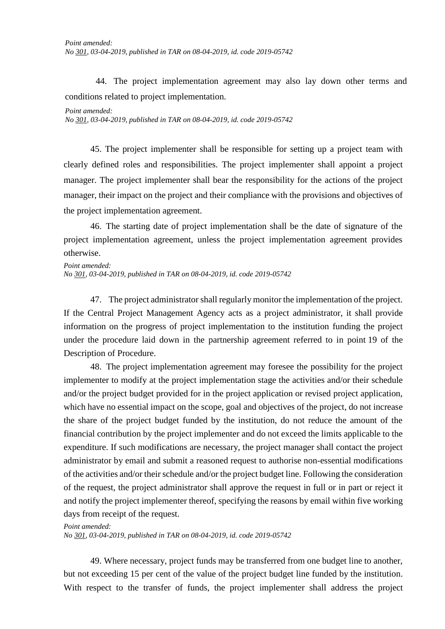44. The project implementation agreement may also lay down other terms and conditions related to project implementation.

### *Point amended:*

*No [301,](https://www.e-tar.lt/portal/legalAct.html?documentId=2076e0e059c211e98b599e654d7d03a0) 03-04-2019, published in TAR on 08-04-2019, id. code 2019-05742*

45. The project implementer shall be responsible for setting up a project team with clearly defined roles and responsibilities. The project implementer shall appoint a project manager. The project implementer shall bear the responsibility for the actions of the project manager, their impact on the project and their compliance with the provisions and objectives of the project implementation agreement.

46. The starting date of project implementation shall be the date of signature of the project implementation agreement, unless the project implementation agreement provides otherwise.

*Point amended: No [301,](https://www.e-tar.lt/portal/legalAct.html?documentId=2076e0e059c211e98b599e654d7d03a0) 03-04-2019, published in TAR on 08-04-2019, id. code 2019-05742*

47. The project administrator shall regularly monitor the implementation of the project. If the Central Project Management Agency acts as a project administrator, it shall provide information on the progress of project implementation to the institution funding the project under the procedure laid down in the partnership agreement referred to in point 19 of the Description of Procedure.

48. The project implementation agreement may foresee the possibility for the project implementer to modify at the project implementation stage the activities and/or their schedule and/or the project budget provided for in the project application or revised project application, which have no essential impact on the scope, goal and objectives of the project, do not increase the share of the project budget funded by the institution, do not reduce the amount of the financial contribution by the project implementer and do not exceed the limits applicable to the expenditure. If such modifications are necessary, the project manager shall contact the project administrator by email and submit a reasoned request to authorise non-essential modifications of the activities and/or their schedule and/or the project budget line. Following the consideration of the request, the project administrator shall approve the request in full or in part or reject it and notify the project implementer thereof, specifying the reasons by email within five working days from receipt of the request.

### *Point amended: No [301,](https://www.e-tar.lt/portal/legalAct.html?documentId=2076e0e059c211e98b599e654d7d03a0) 03-04-2019, published in TAR on 08-04-2019, id. code 2019-05742*

49. Where necessary, project funds may be transferred from one budget line to another, but not exceeding 15 per cent of the value of the project budget line funded by the institution. With respect to the transfer of funds, the project implementer shall address the project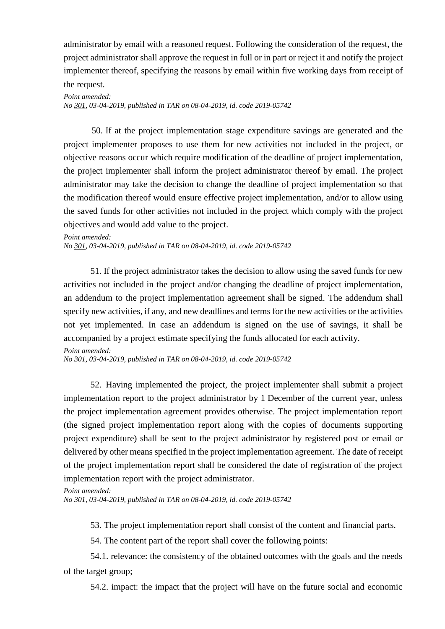administrator by email with a reasoned request. Following the consideration of the request, the project administrator shall approve the request in full or in part or reject it and notify the project implementer thereof, specifying the reasons by email within five working days from receipt of the request.

*Point amended: No [301,](https://www.e-tar.lt/portal/legalAct.html?documentId=2076e0e059c211e98b599e654d7d03a0) 03-04-2019, published in TAR on 08-04-2019, id. code 2019-05742*

50. If at the project implementation stage expenditure savings are generated and the project implementer proposes to use them for new activities not included in the project, or objective reasons occur which require modification of the deadline of project implementation, the project implementer shall inform the project administrator thereof by email. The project administrator may take the decision to change the deadline of project implementation so that the modification thereof would ensure effective project implementation, and/or to allow using the saved funds for other activities not included in the project which comply with the project objectives and would add value to the project.

#### *Point amended:*

*No [301,](https://www.e-tar.lt/portal/legalAct.html?documentId=2076e0e059c211e98b599e654d7d03a0) 03-04-2019, published in TAR on 08-04-2019, id. code 2019-05742*

51. If the project administrator takes the decision to allow using the saved funds for new activities not included in the project and/or changing the deadline of project implementation, an addendum to the project implementation agreement shall be signed. The addendum shall specify new activities, if any, and new deadlines and terms for the new activities or the activities not yet implemented. In case an addendum is signed on the use of savings, it shall be accompanied by a project estimate specifying the funds allocated for each activity.

### *Point amended:*

*No [301,](https://www.e-tar.lt/portal/legalAct.html?documentId=2076e0e059c211e98b599e654d7d03a0) 03-04-2019, published in TAR on 08-04-2019, id. code 2019-05742*

52. Having implemented the project, the project implementer shall submit a project implementation report to the project administrator by 1 December of the current year, unless the project implementation agreement provides otherwise. The project implementation report (the signed project implementation report along with the copies of documents supporting project expenditure) shall be sent to the project administrator by registered post or email or delivered by other means specified in the project implementation agreement. The date of receipt of the project implementation report shall be considered the date of registration of the project implementation report with the project administrator.

#### *Point amended:*

*No [301,](https://www.e-tar.lt/portal/legalAct.html?documentId=2076e0e059c211e98b599e654d7d03a0) 03-04-2019, published in TAR on 08-04-2019, id. code 2019-05742*

53. The project implementation report shall consist of the content and financial parts.

54. The content part of the report shall cover the following points:

54.1. relevance: the consistency of the obtained outcomes with the goals and the needs of the target group;

54.2. impact: the impact that the project will have on the future social and economic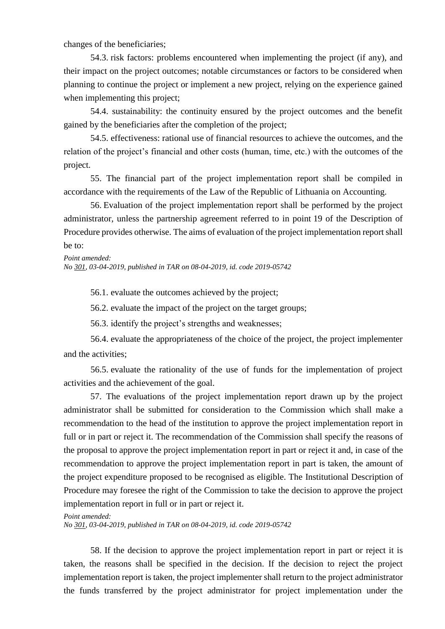changes of the beneficiaries;

54.3. risk factors: problems encountered when implementing the project (if any), and their impact on the project outcomes; notable circumstances or factors to be considered when planning to continue the project or implement a new project, relying on the experience gained when implementing this project;

54.4. sustainability: the continuity ensured by the project outcomes and the benefit gained by the beneficiaries after the completion of the project;

54.5. effectiveness: rational use of financial resources to achieve the outcomes, and the relation of the project's financial and other costs (human, time, etc.) with the outcomes of the project.

55. The financial part of the project implementation report shall be compiled in accordance with the requirements of the Law of the Republic of Lithuania on Accounting.

56. Evaluation of the project implementation report shall be performed by the project administrator, unless the partnership agreement referred to in point 19 of the Description of Procedure provides otherwise. The aims of evaluation of the project implementation report shall be to:

*Point amended:*

*No [301,](https://www.e-tar.lt/portal/legalAct.html?documentId=2076e0e059c211e98b599e654d7d03a0) 03-04-2019, published in TAR on 08-04-2019, id. code 2019-05742*

56.1. evaluate the outcomes achieved by the project;

56.2. evaluate the impact of the project on the target groups;

56.3. identify the project's strengths and weaknesses;

56.4. evaluate the appropriateness of the choice of the project, the project implementer and the activities;

56.5. evaluate the rationality of the use of funds for the implementation of project activities and the achievement of the goal.

57. The evaluations of the project implementation report drawn up by the project administrator shall be submitted for consideration to the Commission which shall make a recommendation to the head of the institution to approve the project implementation report in full or in part or reject it. The recommendation of the Commission shall specify the reasons of the proposal to approve the project implementation report in part or reject it and, in case of the recommendation to approve the project implementation report in part is taken, the amount of the project expenditure proposed to be recognised as eligible. The Institutional Description of Procedure may foresee the right of the Commission to take the decision to approve the project implementation report in full or in part or reject it.

*Point amended:*

*No [301,](https://www.e-tar.lt/portal/legalAct.html?documentId=2076e0e059c211e98b599e654d7d03a0) 03-04-2019, published in TAR on 08-04-2019, id. code 2019-05742*

58. If the decision to approve the project implementation report in part or reject it is taken, the reasons shall be specified in the decision. If the decision to reject the project implementation report is taken, the project implementer shall return to the project administrator the funds transferred by the project administrator for project implementation under the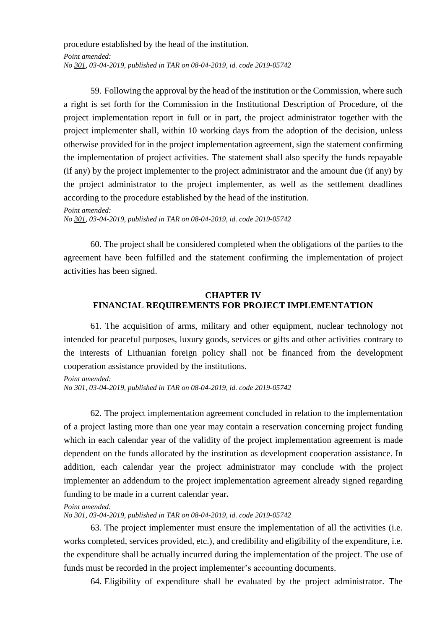procedure established by the head of the institution. *Point amended: No [301,](https://www.e-tar.lt/portal/legalAct.html?documentId=2076e0e059c211e98b599e654d7d03a0) 03-04-2019, published in TAR on 08-04-2019, id. code 2019-05742*

59. Following the approval by the head of the institution or the Commission, where such a right is set forth for the Commission in the Institutional Description of Procedure, of the project implementation report in full or in part, the project administrator together with the project implementer shall, within 10 working days from the adoption of the decision, unless otherwise provided for in the project implementation agreement, sign the statement confirming the implementation of project activities. The statement shall also specify the funds repayable (if any) by the project implementer to the project administrator and the amount due (if any) by the project administrator to the project implementer, as well as the settlement deadlines according to the procedure established by the head of the institution.

*Point amended: No [301,](https://www.e-tar.lt/portal/legalAct.html?documentId=2076e0e059c211e98b599e654d7d03a0) 03-04-2019, published in TAR on 08-04-2019, id. code 2019-05742*

60. The project shall be considered completed when the obligations of the parties to the agreement have been fulfilled and the statement confirming the implementation of project activities has been signed.

# **CHAPTER IV FINANCIAL REQUIREMENTS FOR PROJECT IMPLEMENTATION**

61. The acquisition of arms, military and other equipment, nuclear technology not intended for peaceful purposes, luxury goods, services or gifts and other activities contrary to the interests of Lithuanian foreign policy shall not be financed from the development cooperation assistance provided by the institutions.

*Point amended: No [301,](https://www.e-tar.lt/portal/legalAct.html?documentId=2076e0e059c211e98b599e654d7d03a0) 03-04-2019, published in TAR on 08-04-2019, id. code 2019-05742*

62. The project implementation agreement concluded in relation to the implementation of a project lasting more than one year may contain a reservation concerning project funding which in each calendar year of the validity of the project implementation agreement is made dependent on the funds allocated by the institution as development cooperation assistance. In addition, each calendar year the project administrator may conclude with the project implementer an addendum to the project implementation agreement already signed regarding funding to be made in a current calendar year**.**

### *Point amended:*

*No [301,](https://www.e-tar.lt/portal/legalAct.html?documentId=2076e0e059c211e98b599e654d7d03a0) 03-04-2019, published in TAR on 08-04-2019, id. code 2019-05742*

63. The project implementer must ensure the implementation of all the activities (i.e. works completed, services provided, etc.), and credibility and eligibility of the expenditure, i.e. the expenditure shall be actually incurred during the implementation of the project. The use of funds must be recorded in the project implementer's accounting documents.

64. Eligibility of expenditure shall be evaluated by the project administrator. The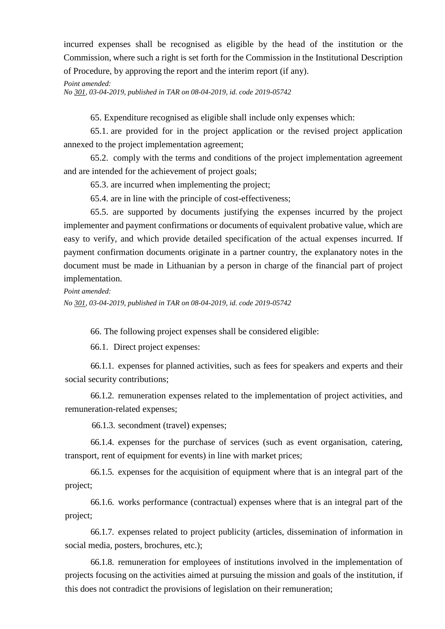incurred expenses shall be recognised as eligible by the head of the institution or the Commission, where such a right is set forth for the Commission in the Institutional Description of Procedure, by approving the report and the interim report (if any).

*Point amended: No [301,](https://www.e-tar.lt/portal/legalAct.html?documentId=2076e0e059c211e98b599e654d7d03a0) 03-04-2019, published in TAR on 08-04-2019, id. code 2019-05742*

65. Expenditure recognised as eligible shall include only expenses which:

65.1. are provided for in the project application or the revised project application annexed to the project implementation agreement;

65.2. comply with the terms and conditions of the project implementation agreement and are intended for the achievement of project goals;

65.3. are incurred when implementing the project;

65.4. are in line with the principle of cost-effectiveness;

65.5. are supported by documents justifying the expenses incurred by the project implementer and payment confirmations or documents of equivalent probative value, which are easy to verify, and which provide detailed specification of the actual expenses incurred. If payment confirmation documents originate in a partner country, the explanatory notes in the document must be made in Lithuanian by a person in charge of the financial part of project implementation.

*Point amended:*

*No [301,](https://www.e-tar.lt/portal/legalAct.html?documentId=2076e0e059c211e98b599e654d7d03a0) 03-04-2019, published in TAR on 08-04-2019, id. code 2019-05742*

66. The following project expenses shall be considered eligible:

66.1. Direct project expenses:

66.1.1. expenses for planned activities, such as fees for speakers and experts and their social security contributions;

66.1.2. remuneration expenses related to the implementation of project activities, and remuneration-related expenses;

66.1.3. secondment (travel) expenses;

66.1.4. expenses for the purchase of services (such as event organisation, catering, transport, rent of equipment for events) in line with market prices;

66.1.5. expenses for the acquisition of equipment where that is an integral part of the project;

66.1.6. works performance (contractual) expenses where that is an integral part of the project;

66.1.7. expenses related to project publicity (articles, dissemination of information in social media, posters, brochures, etc.);

66.1.8. remuneration for employees of institutions involved in the implementation of projects focusing on the activities aimed at pursuing the mission and goals of the institution, if this does not contradict the provisions of legislation on their remuneration;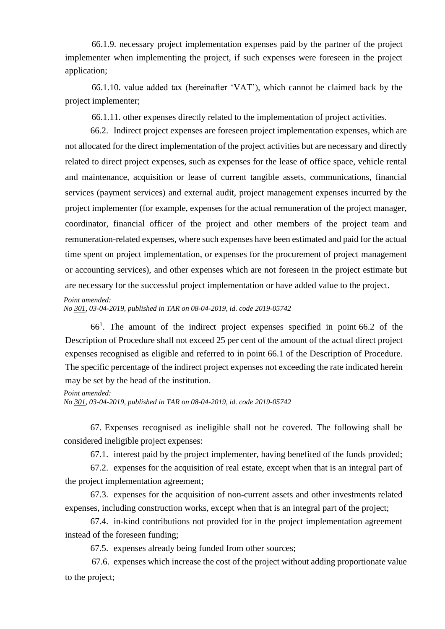66.1.9. necessary project implementation expenses paid by the partner of the project implementer when implementing the project, if such expenses were foreseen in the project application;

66.1.10. value added tax (hereinafter 'VAT'), which cannot be claimed back by the project implementer;

66.1.11. other expenses directly related to the implementation of project activities.

66.2. Indirect project expenses are foreseen project implementation expenses, which are not allocated for the direct implementation of the project activities but are necessary and directly related to direct project expenses, such as expenses for the lease of office space, vehicle rental and maintenance, acquisition or lease of current tangible assets, communications, financial services (payment services) and external audit, project management expenses incurred by the project implementer (for example, expenses for the actual remuneration of the project manager, coordinator, financial officer of the project and other members of the project team and remuneration-related expenses, where such expenses have been estimated and paid for the actual time spent on project implementation, or expenses for the procurement of project management or accounting services), and other expenses which are not foreseen in the project estimate but are necessary for the successful project implementation or have added value to the project.

*Point amended:*

*No [301,](https://www.e-tar.lt/portal/legalAct.html?documentId=2076e0e059c211e98b599e654d7d03a0) 03-04-2019, published in TAR on 08-04-2019, id. code 2019-05742*

66<sup>1</sup> . The amount of the indirect project expenses specified in point 66.2 of the Description of Procedure shall not exceed 25 per cent of the amount of the actual direct project expenses recognised as eligible and referred to in point 66.1 of the Description of Procedure. The specific percentage of the indirect project expenses not exceeding the rate indicated herein may be set by the head of the institution.

### *Point amended:*

*No [301,](https://www.e-tar.lt/portal/legalAct.html?documentId=2076e0e059c211e98b599e654d7d03a0) 03-04-2019, published in TAR on 08-04-2019, id. code 2019-05742*

67. Expenses recognised as ineligible shall not be covered. The following shall be considered ineligible project expenses:

67.1. interest paid by the project implementer, having benefited of the funds provided;

67.2. expenses for the acquisition of real estate, except when that is an integral part of the project implementation agreement;

67.3. expenses for the acquisition of non-current assets and other investments related expenses, including construction works, except when that is an integral part of the project;

67.4. in-kind contributions not provided for in the project implementation agreement instead of the foreseen funding;

67.5. expenses already being funded from other sources;

67.6. expenses which increase the cost of the project without adding proportionate value to the project;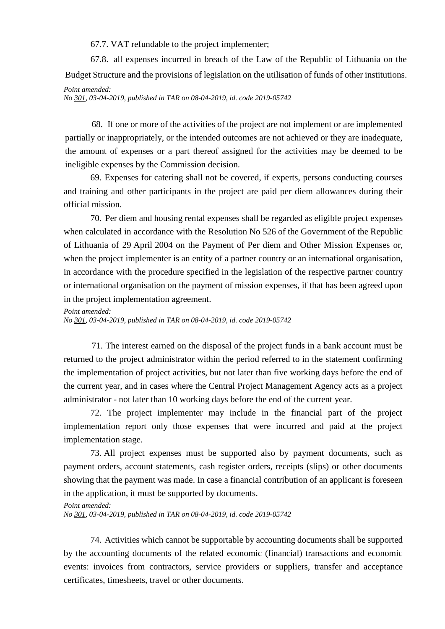67.7. VAT refundable to the project implementer;

67.8. all expenses incurred in breach of the Law of the Republic of Lithuania on the Budget Structure and the provisions of legislation on the utilisation of funds of other institutions.

*Point amended:*

*No [301,](https://www.e-tar.lt/portal/legalAct.html?documentId=2076e0e059c211e98b599e654d7d03a0) 03-04-2019, published in TAR on 08-04-2019, id. code 2019-05742*

68. If one or more of the activities of the project are not implement or are implemented partially or inappropriately, or the intended outcomes are not achieved or they are inadequate, the amount of expenses or a part thereof assigned for the activities may be deemed to be ineligible expenses by the Commission decision.

69. Expenses for catering shall not be covered, if experts, persons conducting courses and training and other participants in the project are paid per diem allowances during their official mission.

70. Per diem and housing rental expenses shall be regarded as eligible project expenses when calculated in accordance with the Resolution No 526 of the Government of the Republic of Lithuania of 29 April 2004 on the Payment of Per diem and Other Mission Expenses or, when the project implementer is an entity of a partner country or an international organisation, in accordance with the procedure specified in the legislation of the respective partner country or international organisation on the payment of mission expenses, if that has been agreed upon in the project implementation agreement.

### *Point amended:*

*No [301,](https://www.e-tar.lt/portal/legalAct.html?documentId=2076e0e059c211e98b599e654d7d03a0) 03-04-2019, published in TAR on 08-04-2019, id. code 2019-05742*

71. The interest earned on the disposal of the project funds in a bank account must be returned to the project administrator within the period referred to in the statement confirming the implementation of project activities, but not later than five working days before the end of the current year, and in cases where the Central Project Management Agency acts as a project administrator - not later than 10 working days before the end of the current year.

72. The project implementer may include in the financial part of the project implementation report only those expenses that were incurred and paid at the project implementation stage.

73. All project expenses must be supported also by payment documents, such as payment orders, account statements, cash register orders, receipts (slips) or other documents showing that the payment was made. In case a financial contribution of an applicant is foreseen in the application, it must be supported by documents.

#### *Point amended:*

*No [301,](https://www.e-tar.lt/portal/legalAct.html?documentId=2076e0e059c211e98b599e654d7d03a0) 03-04-2019, published in TAR on 08-04-2019, id. code 2019-05742*

74. Activities which cannot be supportable by accounting documents shall be supported by the accounting documents of the related economic (financial) transactions and economic events: invoices from contractors, service providers or suppliers, transfer and acceptance certificates, timesheets, travel or other documents.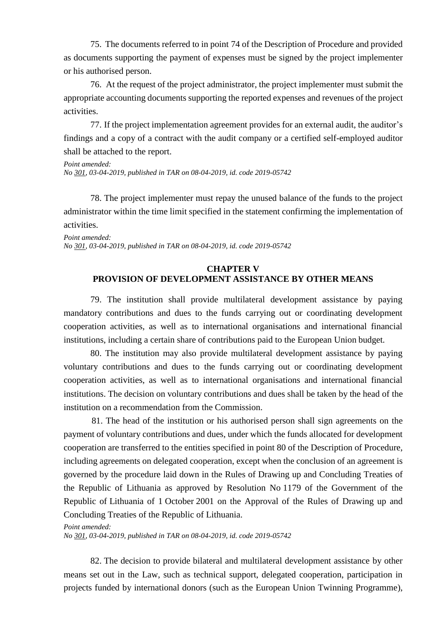75. The documents referred to in point 74 of the Description of Procedure and provided as documents supporting the payment of expenses must be signed by the project implementer or his authorised person.

76. At the request of the project administrator, the project implementer must submit the appropriate accounting documents supporting the reported expenses and revenues of the project activities.

77. If the project implementation agreement provides for an external audit, the auditor's findings and a copy of a contract with the audit company or a certified self-employed auditor shall be attached to the report.

*Point amended: No [301,](https://www.e-tar.lt/portal/legalAct.html?documentId=2076e0e059c211e98b599e654d7d03a0) 03-04-2019, published in TAR on 08-04-2019, id. code 2019-05742*

78. The project implementer must repay the unused balance of the funds to the project administrator within the time limit specified in the statement confirming the implementation of activities.

*Point amended: No [301,](https://www.e-tar.lt/portal/legalAct.html?documentId=2076e0e059c211e98b599e654d7d03a0) 03-04-2019, published in TAR on 08-04-2019, id. code 2019-05742*

# **CHAPTER V PROVISION OF DEVELOPMENT ASSISTANCE BY OTHER MEANS**

79. The institution shall provide multilateral development assistance by paying mandatory contributions and dues to the funds carrying out or coordinating development cooperation activities, as well as to international organisations and international financial institutions, including a certain share of contributions paid to the European Union budget.

80. The institution may also provide multilateral development assistance by paying voluntary contributions and dues to the funds carrying out or coordinating development cooperation activities, as well as to international organisations and international financial institutions. The decision on voluntary contributions and dues shall be taken by the head of the institution on a recommendation from the Commission.

81. The head of the institution or his authorised person shall sign agreements on the payment of voluntary contributions and dues, under which the funds allocated for development cooperation are transferred to the entities specified in point 80 of the Description of Procedure, including agreements on delegated cooperation, except when the conclusion of an agreement is governed by the procedure laid down in the Rules of Drawing up and Concluding Treaties of the Republic of Lithuania as approved by Resolution No 1179 of the Government of the Republic of Lithuania of 1 October 2001 on the Approval of the Rules of Drawing up and Concluding Treaties of the Republic of Lithuania.

### *Point amended:*

*No [301,](https://www.e-tar.lt/portal/legalAct.html?documentId=2076e0e059c211e98b599e654d7d03a0) 03-04-2019, published in TAR on 08-04-2019, id. code 2019-05742*

82. The decision to provide bilateral and multilateral development assistance by other means set out in the Law, such as technical support, delegated cooperation, participation in projects funded by international donors (such as the European Union Twinning Programme),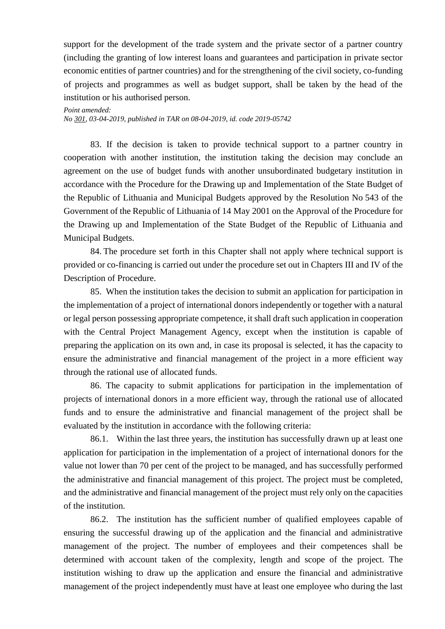support for the development of the trade system and the private sector of a partner country (including the granting of low interest loans and guarantees and participation in private sector economic entities of partner countries) and for the strengthening of the civil society, co-funding of projects and programmes as well as budget support, shall be taken by the head of the institution or his authorised person.

*Point amended:*

*No [301,](https://www.e-tar.lt/portal/legalAct.html?documentId=2076e0e059c211e98b599e654d7d03a0) 03-04-2019, published in TAR on 08-04-2019, id. code 2019-05742*

83. If the decision is taken to provide technical support to a partner country in cooperation with another institution, the institution taking the decision may conclude an agreement on the use of budget funds with another unsubordinated budgetary institution in accordance with the Procedure for the Drawing up and Implementation of the State Budget of the Republic of Lithuania and Municipal Budgets approved by the Resolution No 543 of the Government of the Republic of Lithuania of 14 May 2001 on the Approval of the Procedure for the Drawing up and Implementation of the State Budget of the Republic of Lithuania and Municipal Budgets.

84. The procedure set forth in this Chapter shall not apply where technical support is provided or co-financing is carried out under the procedure set out in Chapters III and IV of the Description of Procedure.

85. When the institution takes the decision to submit an application for participation in the implementation of a project of international donors independently or together with a natural or legal person possessing appropriate competence, it shall draft such application in cooperation with the Central Project Management Agency, except when the institution is capable of preparing the application on its own and, in case its proposal is selected, it has the capacity to ensure the administrative and financial management of the project in a more efficient way through the rational use of allocated funds.

86. The capacity to submit applications for participation in the implementation of projects of international donors in a more efficient way, through the rational use of allocated funds and to ensure the administrative and financial management of the project shall be evaluated by the institution in accordance with the following criteria:

86.1. Within the last three years, the institution has successfully drawn up at least one application for participation in the implementation of a project of international donors for the value not lower than 70 per cent of the project to be managed, and has successfully performed the administrative and financial management of this project. The project must be completed, and the administrative and financial management of the project must rely only on the capacities of the institution.

86.2. The institution has the sufficient number of qualified employees capable of ensuring the successful drawing up of the application and the financial and administrative management of the project. The number of employees and their competences shall be determined with account taken of the complexity, length and scope of the project. The institution wishing to draw up the application and ensure the financial and administrative management of the project independently must have at least one employee who during the last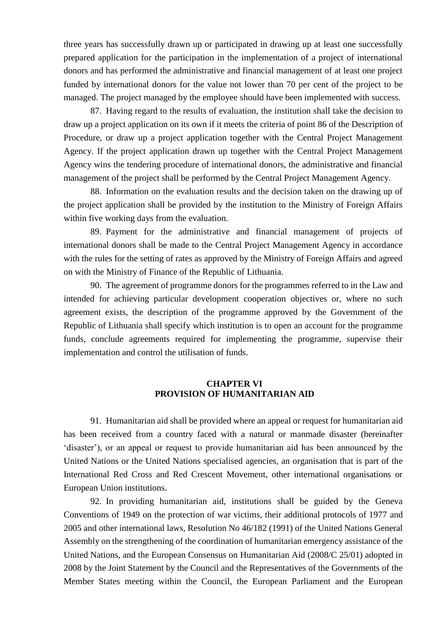three years has successfully drawn up or participated in drawing up at least one successfully prepared application for the participation in the implementation of a project of international donors and has performed the administrative and financial management of at least one project funded by international donors for the value not lower than 70 per cent of the project to be managed. The project managed by the employee should have been implemented with success.

87. Having regard to the results of evaluation, the institution shall take the decision to draw up a project application on its own if it meets the criteria of point 86 of the Description of Procedure, or draw up a project application together with the Central Project Management Agency. If the project application drawn up together with the Central Project Management Agency wins the tendering procedure of international donors, the administrative and financial management of the project shall be performed by the Central Project Management Agency.

88. Information on the evaluation results and the decision taken on the drawing up of the project application shall be provided by the institution to the Ministry of Foreign Affairs within five working days from the evaluation.

89. Payment for the administrative and financial management of projects of international donors shall be made to the Central Project Management Agency in accordance with the rules for the setting of rates as approved by the Ministry of Foreign Affairs and agreed on with the Ministry of Finance of the Republic of Lithuania.

90. The agreement of programme donors for the programmes referred to in the Law and intended for achieving particular development cooperation objectives or, where no such agreement exists, the description of the programme approved by the Government of the Republic of Lithuania shall specify which institution is to open an account for the programme funds, conclude agreements required for implementing the programme, supervise their implementation and control the utilisation of funds.

## **CHAPTER VI PROVISION OF HUMANITARIAN AID**

91. Humanitarian aid shall be provided where an appeal or request for humanitarian aid has been received from a country faced with a natural or manmade disaster (hereinafter 'disaster'), or an appeal or request to provide humanitarian aid has been announced by the United Nations or the United Nations specialised agencies, an organisation that is part of the International Red Cross and Red Crescent Movement, other international organisations or European Union institutions.

92. In providing humanitarian aid, institutions shall be guided by the Geneva Conventions of 1949 on the protection of war victims, their additional protocols of 1977 and 2005 and other international laws, Resolution No 46/182 (1991) of the United Nations General Assembly on the strengthening of the coordination of humanitarian emergency assistance of the United Nations, and the European Consensus on Humanitarian Aid (2008/C 25/01) adopted in 2008 by the Joint Statement by the Council and the Representatives of the Governments of the Member States meeting within the Council, the European Parliament and the European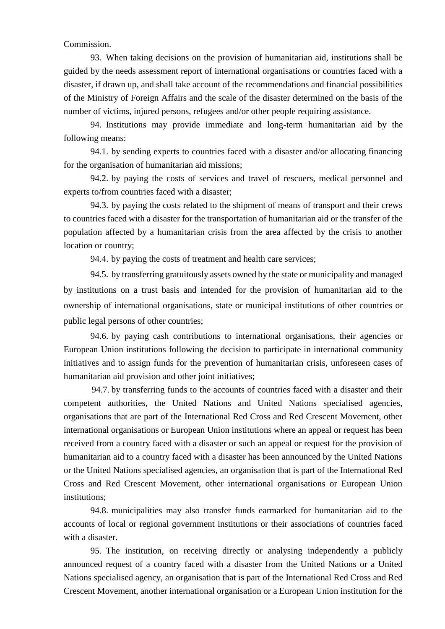## Commission.

93. When taking decisions on the provision of humanitarian aid, institutions shall be guided by the needs assessment report of international organisations or countries faced with a disaster, if drawn up, and shall take account of the recommendations and financial possibilities of the Ministry of Foreign Affairs and the scale of the disaster determined on the basis of the number of victims, injured persons, refugees and/or other people requiring assistance.

94. Institutions may provide immediate and long-term humanitarian aid by the following means:

94.1. by sending experts to countries faced with a disaster and/or allocating financing for the organisation of humanitarian aid missions;

94.2. by paying the costs of services and travel of rescuers, medical personnel and experts to/from countries faced with a disaster;

94.3. by paying the costs related to the shipment of means of transport and their crews to countries faced with a disaster for the transportation of humanitarian aid or the transfer of the population affected by a humanitarian crisis from the area affected by the crisis to another location or country;

94.4. by paying the costs of treatment and health care services;

94.5. by transferring gratuitously assets owned by the state or municipality and managed by institutions on a trust basis and intended for the provision of humanitarian aid to the ownership of international organisations, state or municipal institutions of other countries or public legal persons of other countries;

94.6. by paying cash contributions to international organisations, their agencies or European Union institutions following the decision to participate in international community initiatives and to assign funds for the prevention of humanitarian crisis, unforeseen cases of humanitarian aid provision and other joint initiatives;

94.7. by transferring funds to the accounts of countries faced with a disaster and their competent authorities, the United Nations and United Nations specialised agencies, organisations that are part of the International Red Cross and Red Crescent Movement, other international organisations or European Union institutions where an appeal or request has been received from a country faced with a disaster or such an appeal or request for the provision of humanitarian aid to a country faced with a disaster has been announced by the United Nations or the United Nations specialised agencies, an organisation that is part of the International Red Cross and Red Crescent Movement, other international organisations or European Union institutions;

94.8. municipalities may also transfer funds earmarked for humanitarian aid to the accounts of local or regional government institutions or their associations of countries faced with a disaster.

95. The institution, on receiving directly or analysing independently a publicly announced request of a country faced with a disaster from the United Nations or a United Nations specialised agency, an organisation that is part of the International Red Cross and Red Crescent Movement, another international organisation or a European Union institution for the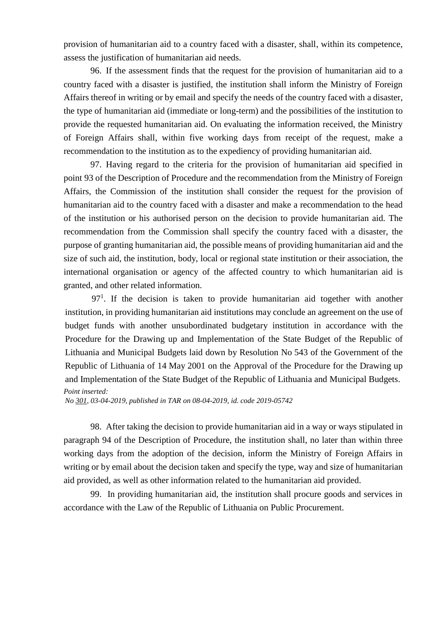provision of humanitarian aid to a country faced with a disaster, shall, within its competence, assess the justification of humanitarian aid needs.

96. If the assessment finds that the request for the provision of humanitarian aid to a country faced with a disaster is justified, the institution shall inform the Ministry of Foreign Affairs thereof in writing or by email and specify the needs of the country faced with a disaster, the type of humanitarian aid (immediate or long-term) and the possibilities of the institution to provide the requested humanitarian aid. On evaluating the information received, the Ministry of Foreign Affairs shall, within five working days from receipt of the request, make a recommendation to the institution as to the expediency of providing humanitarian aid.

97. Having regard to the criteria for the provision of humanitarian aid specified in point 93 of the Description of Procedure and the recommendation from the Ministry of Foreign Affairs, the Commission of the institution shall consider the request for the provision of humanitarian aid to the country faced with a disaster and make a recommendation to the head of the institution or his authorised person on the decision to provide humanitarian aid. The recommendation from the Commission shall specify the country faced with a disaster, the purpose of granting humanitarian aid, the possible means of providing humanitarian aid and the size of such aid, the institution, body, local or regional state institution or their association, the international organisation or agency of the affected country to which humanitarian aid is granted, and other related information.

 $97<sup>1</sup>$ . If the decision is taken to provide humanitarian aid together with another institution, in providing humanitarian aid institutions may conclude an agreement on the use of budget funds with another unsubordinated budgetary institution in accordance with the Procedure for the Drawing up and Implementation of the State Budget of the Republic of Lithuania and Municipal Budgets laid down by Resolution No 543 of the Government of the Republic of Lithuania of 14 May 2001 on the Approval of the Procedure for the Drawing up and Implementation of the State Budget of the Republic of Lithuania and Municipal Budgets. *Point inserted:*

*No [301,](https://www.e-tar.lt/portal/legalAct.html?documentId=2076e0e059c211e98b599e654d7d03a0) 03-04-2019, published in TAR on 08-04-2019, id. code 2019-05742*

98. After taking the decision to provide humanitarian aid in a way or ways stipulated in paragraph 94 of the Description of Procedure, the institution shall, no later than within three working days from the adoption of the decision, inform the Ministry of Foreign Affairs in writing or by email about the decision taken and specify the type, way and size of humanitarian aid provided, as well as other information related to the humanitarian aid provided.

99. In providing humanitarian aid, the institution shall procure goods and services in accordance with the Law of the Republic of Lithuania on Public Procurement.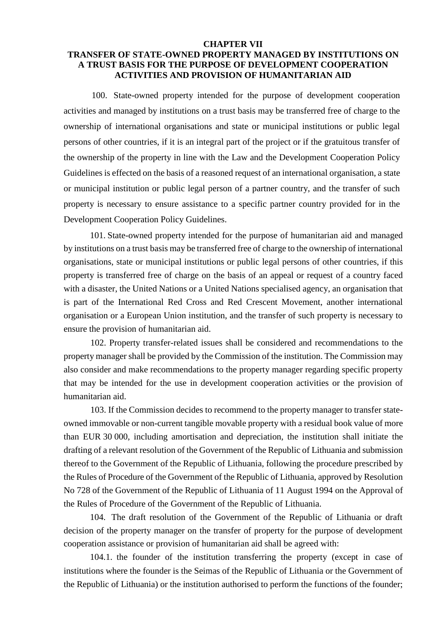## **CHAPTER VII TRANSFER OF STATE-OWNED PROPERTY MANAGED BY INSTITUTIONS ON A TRUST BASIS FOR THE PURPOSE OF DEVELOPMENT COOPERATION ACTIVITIES AND PROVISION OF HUMANITARIAN AID**

100. State-owned property intended for the purpose of development cooperation activities and managed by institutions on a trust basis may be transferred free of charge to the ownership of international organisations and state or municipal institutions or public legal persons of other countries, if it is an integral part of the project or if the gratuitous transfer of the ownership of the property in line with the Law and the Development Cooperation Policy Guidelines is effected on the basis of a reasoned request of an international organisation, a state or municipal institution or public legal person of a partner country, and the transfer of such property is necessary to ensure assistance to a specific partner country provided for in the Development Cooperation Policy Guidelines.

101. State-owned property intended for the purpose of humanitarian aid and managed by institutions on a trust basis may be transferred free of charge to the ownership of international organisations, state or municipal institutions or public legal persons of other countries, if this property is transferred free of charge on the basis of an appeal or request of a country faced with a disaster, the United Nations or a United Nations specialised agency, an organisation that is part of the International Red Cross and Red Crescent Movement, another international organisation or a European Union institution, and the transfer of such property is necessary to ensure the provision of humanitarian aid.

102. Property transfer-related issues shall be considered and recommendations to the property manager shall be provided by the Commission of the institution. The Commission may also consider and make recommendations to the property manager regarding specific property that may be intended for the use in development cooperation activities or the provision of humanitarian aid.

103. If the Commission decides to recommend to the property manager to transfer stateowned immovable or non-current tangible movable property with a residual book value of more than EUR 30 000, including amortisation and depreciation, the institution shall initiate the drafting of a relevant resolution of the Government of the Republic of Lithuania and submission thereof to the Government of the Republic of Lithuania, following the procedure prescribed by the Rules of Procedure of the Government of the Republic of Lithuania, approved by Resolution No 728 of the Government of the Republic of Lithuania of 11 August 1994 on the Approval of the Rules of Procedure of the Government of the Republic of Lithuania.

104. The draft resolution of the Government of the Republic of Lithuania or draft decision of the property manager on the transfer of property for the purpose of development cooperation assistance or provision of humanitarian aid shall be agreed with:

104.1. the founder of the institution transferring the property (except in case of institutions where the founder is the Seimas of the Republic of Lithuania or the Government of the Republic of Lithuania) or the institution authorised to perform the functions of the founder;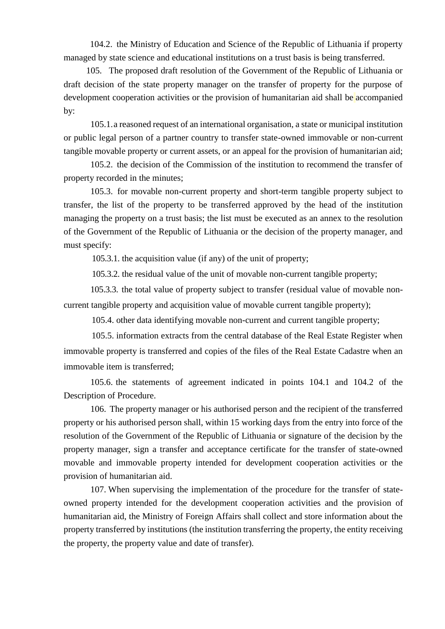104.2. the Ministry of Education and Science of the Republic of Lithuania if property managed by state science and educational institutions on a trust basis is being transferred.

105. The proposed draft resolution of the Government of the Republic of Lithuania or draft decision of the state property manager on the transfer of property for the purpose of development cooperation activities or the provision of humanitarian aid shall be accompanied by:

105.1.a reasoned request of an international organisation, a state or municipal institution or public legal person of a partner country to transfer state-owned immovable or non-current tangible movable property or current assets, or an appeal for the provision of humanitarian aid;

105.2. the decision of the Commission of the institution to recommend the transfer of property recorded in the minutes;

105.3. for movable non-current property and short-term tangible property subject to transfer, the list of the property to be transferred approved by the head of the institution managing the property on a trust basis; the list must be executed as an annex to the resolution of the Government of the Republic of Lithuania or the decision of the property manager, and must specify:

105.3.1. the acquisition value (if any) of the unit of property;

105.3.2. the residual value of the unit of movable non-current tangible property;

105.3.3. the total value of property subject to transfer (residual value of movable noncurrent tangible property and acquisition value of movable current tangible property);

105.4. other data identifying movable non-current and current tangible property;

105.5. information extracts from the central database of the Real Estate Register when immovable property is transferred and copies of the files of the Real Estate Cadastre when an immovable item is transferred;

105.6. the statements of agreement indicated in points 104.1 and 104.2 of the Description of Procedure.

106. The property manager or his authorised person and the recipient of the transferred property or his authorised person shall, within 15 working days from the entry into force of the resolution of the Government of the Republic of Lithuania or signature of the decision by the property manager, sign a transfer and acceptance certificate for the transfer of state-owned movable and immovable property intended for development cooperation activities or the provision of humanitarian aid.

107. When supervising the implementation of the procedure for the transfer of stateowned property intended for the development cooperation activities and the provision of humanitarian aid, the Ministry of Foreign Affairs shall collect and store information about the property transferred by institutions (the institution transferring the property, the entity receiving the property, the property value and date of transfer).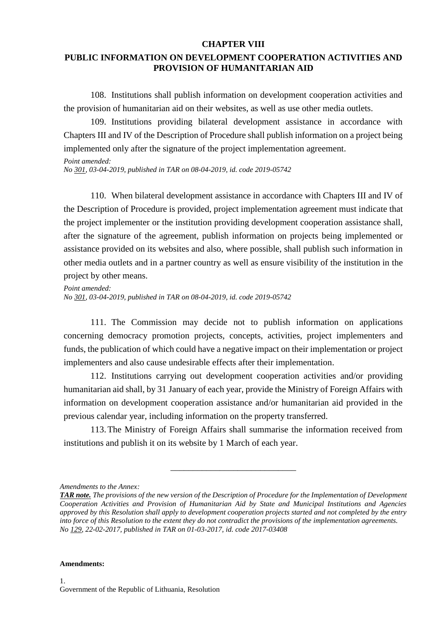### **CHAPTER VIII**

# **PUBLIC INFORMATION ON DEVELOPMENT COOPERATION ACTIVITIES AND PROVISION OF HUMANITARIAN AID**

108. Institutions shall publish information on development cooperation activities and the provision of humanitarian aid on their websites, as well as use other media outlets.

109. Institutions providing bilateral development assistance in accordance with Chapters III and IV of the Description of Procedure shall publish information on a project being implemented only after the signature of the project implementation agreement.

*Point amended:*

*No [301,](https://www.e-tar.lt/portal/legalAct.html?documentId=2076e0e059c211e98b599e654d7d03a0) 03-04-2019, published in TAR on 08-04-2019, id. code 2019-05742*

110. When bilateral development assistance in accordance with Chapters III and IV of the Description of Procedure is provided, project implementation agreement must indicate that the project implementer or the institution providing development cooperation assistance shall, after the signature of the agreement, publish information on projects being implemented or assistance provided on its websites and also, where possible, shall publish such information in other media outlets and in a partner country as well as ensure visibility of the institution in the project by other means.

*Point amended: No [301,](https://www.e-tar.lt/portal/legalAct.html?documentId=2076e0e059c211e98b599e654d7d03a0) 03-04-2019, published in TAR on 08-04-2019, id. code 2019-05742*

111. The Commission may decide not to publish information on applications concerning democracy promotion projects, concepts, activities, project implementers and funds, the publication of which could have a negative impact on their implementation or project implementers and also cause undesirable effects after their implementation.

112. Institutions carrying out development cooperation activities and/or providing humanitarian aid shall, by 31 January of each year, provide the Ministry of Foreign Affairs with information on development cooperation assistance and/or humanitarian aid provided in the previous calendar year, including information on the property transferred.

113.The Ministry of Foreign Affairs shall summarise the information received from institutions and publish it on its website by 1 March of each year.

\_\_\_\_\_\_\_\_\_\_\_\_\_\_\_\_\_\_\_\_\_\_\_\_\_\_\_\_

#### **Amendments:**

*Amendments to the Annex:*

*TAR note. The provisions of the new version of the Description of Procedure for the Implementation of Development Cooperation Activities and Provision of Humanitarian Aid by State and Municipal Institutions and Agencies approved by this Resolution shall apply to development cooperation projects started and not completed by the entry into force of this Resolution to the extent they do not contradict the provisions of the implementation agreements. No [129,](https://www.e-tar.lt/portal/legalAct.html?documentId=28eeb270fe6611e68034be159a964f47) 22-02-2017, published in TAR on 01-03-2017, id. code 2017-03408*